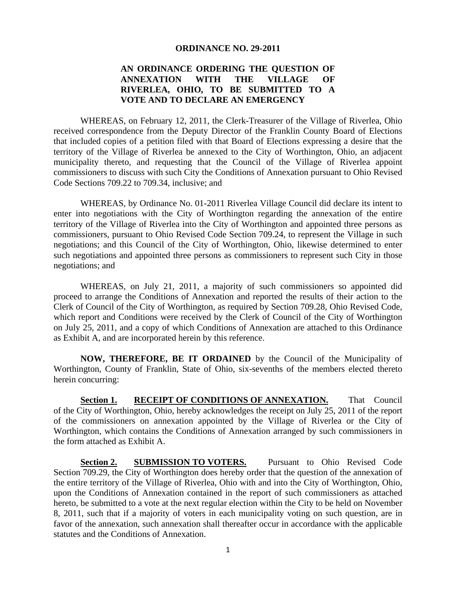#### **ORDINANCE NO. 29-2011**

## **AN ORDINANCE ORDERING THE QUESTION OF ANNEXATION WITH THE VILLAGE OF RIVERLEA, OHIO, TO BE SUBMITTED TO A VOTE AND TO DECLARE AN EMERGENCY**

WHEREAS, on February 12, 2011, the Clerk-Treasurer of the Village of Riverlea, Ohio received correspondence from the Deputy Director of the Franklin County Board of Elections that included copies of a petition filed with that Board of Elections expressing a desire that the territory of the Village of Riverlea be annexed to the City of Worthington, Ohio, an adjacent municipality thereto, and requesting that the Council of the Village of Riverlea appoint commissioners to discuss with such City the Conditions of Annexation pursuant to Ohio Revised Code Sections 709.22 to 709.34, inclusive; and

WHEREAS, by Ordinance No. 01-2011 Riverlea Village Council did declare its intent to enter into negotiations with the City of Worthington regarding the annexation of the entire territory of the Village of Riverlea into the City of Worthington and appointed three persons as commissioners, pursuant to Ohio Revised Code Section 709.24, to represent the Village in such negotiations; and this Council of the City of Worthington, Ohio, likewise determined to enter such negotiations and appointed three persons as commissioners to represent such City in those negotiations; and

WHEREAS, on July 21, 2011, a majority of such commissioners so appointed did proceed to arrange the Conditions of Annexation and reported the results of their action to the Clerk of Council of the City of Worthington, as required by Section 709.28, Ohio Revised Code, which report and Conditions were received by the Clerk of Council of the City of Worthington on July 25, 2011, and a copy of which Conditions of Annexation are attached to this Ordinance as Exhibit A, and are incorporated herein by this reference.

**NOW, THEREFORE, BE IT ORDAINED** by the Council of the Municipality of Worthington, County of Franklin, State of Ohio, six-sevenths of the members elected thereto herein concurring:

Section 1. RECEIPT OF CONDITIONS OF ANNEXATION. That Council of the City of Worthington, Ohio, hereby acknowledges the receipt on July 25, 2011 of the report of the commissioners on annexation appointed by the Village of Riverlea or the City of Worthington, which contains the Conditions of Annexation arranged by such commissioners in the form attached as Exhibit A.

**Section 2. SUBMISSION TO VOTERS.** Pursuant to Ohio Revised Code Section 709.29, the City of Worthington does hereby order that the question of the annexation of the entire territory of the Village of Riverlea, Ohio with and into the City of Worthington, Ohio, upon the Conditions of Annexation contained in the report of such commissioners as attached hereto, be submitted to a vote at the next regular election within the City to be held on November 8, 2011, such that if a majority of voters in each municipality voting on such question, are in favor of the annexation, such annexation shall thereafter occur in accordance with the applicable statutes and the Conditions of Annexation.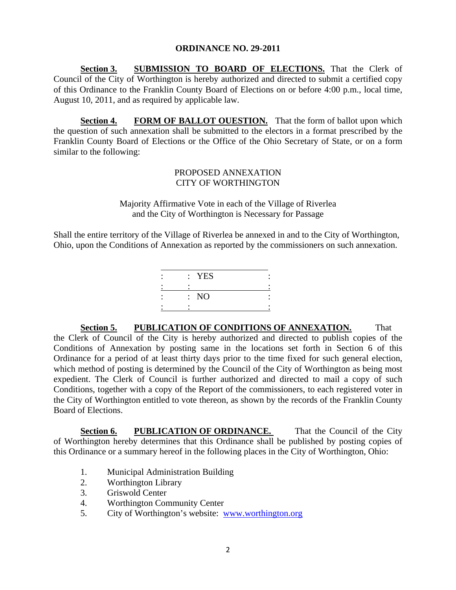### **ORDINANCE NO. 29-2011**

**Section 3. SUBMISSION TO BOARD OF ELECTIONS.** That the Clerk of Council of the City of Worthington is hereby authorized and directed to submit a certified copy of this Ordinance to the Franklin County Board of Elections on or before 4:00 p.m., local time, August 10, 2011, and as required by applicable law.

**Section 4. FORM OF BALLOT OUESTION.** That the form of ballot upon which the question of such annexation shall be submitted to the electors in a format prescribed by the Franklin County Board of Elections or the Office of the Ohio Secretary of State, or on a form similar to the following:

# PROPOSED ANNEXATION CITY OF WORTHINGTON

Majority Affirmative Vote in each of the Village of Riverlea and the City of Worthington is Necessary for Passage

Shall the entire territory of the Village of Riverlea be annexed in and to the City of Worthington, Ohio, upon the Conditions of Annexation as reported by the commissioners on such annexation.

| : YES |  |
|-------|--|
|       |  |
| : NO  |  |
|       |  |

**Section 5. PUBLICATION OF CONDITIONS OF ANNEXATION.** That the Clerk of Council of the City is hereby authorized and directed to publish copies of the Conditions of Annexation by posting same in the locations set forth in Section 6 of this Ordinance for a period of at least thirty days prior to the time fixed for such general election, which method of posting is determined by the Council of the City of Worthington as being most expedient. The Clerk of Council is further authorized and directed to mail a copy of such Conditions, together with a copy of the Report of the commissioners, to each registered voter in the City of Worthington entitled to vote thereon, as shown by the records of the Franklin County Board of Elections.

**Section 6. PUBLICATION OF ORDINANCE.** That the Council of the City of Worthington hereby determines that this Ordinance shall be published by posting copies of this Ordinance or a summary hereof in the following places in the City of Worthington, Ohio:

- 1. Municipal Administration Building
- 2. Worthington Library
- 3. Griswold Center
- 4. Worthington Community Center
- 5. City of Worthington's website: www.worthington.org